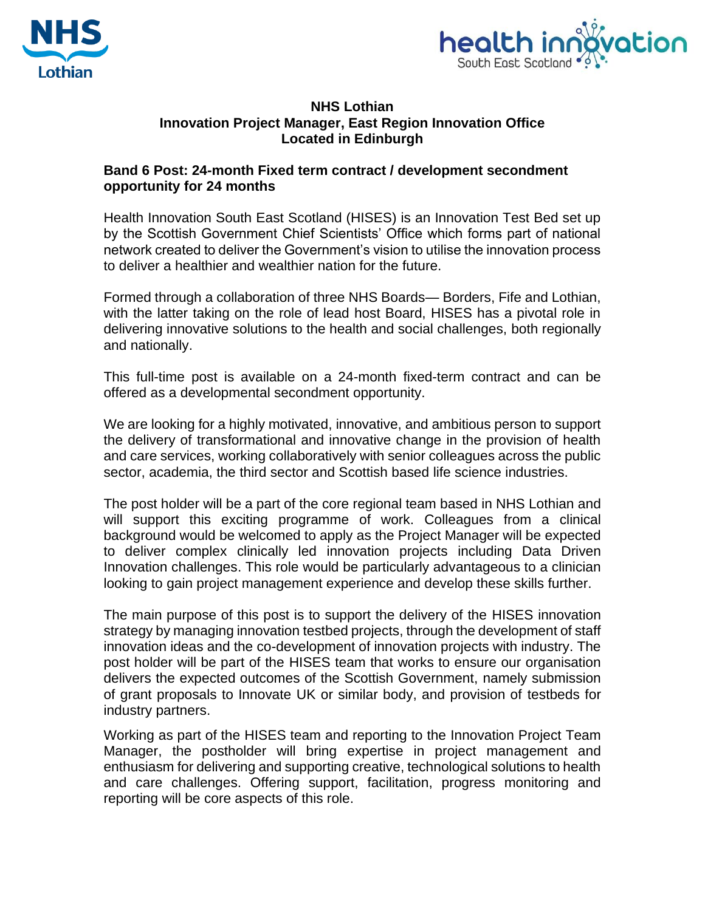



## **NHS Lothian Innovation Project Manager, East Region Innovation Office Located in Edinburgh**

## **Band 6 Post: 24-month Fixed term contract / development secondment opportunity for 24 months**

Health Innovation South East Scotland (HISES) is an Innovation Test Bed set up by the Scottish Government Chief Scientists' Office which forms part of national network created to deliver the Government's vision to utilise the innovation process to deliver a healthier and wealthier nation for the future.

Formed through a collaboration of three NHS Boards— Borders, Fife and Lothian, with the latter taking on the role of lead host Board, HISES has a pivotal role in delivering innovative solutions to the health and social challenges, both regionally and nationally.

This full-time post is available on a 24-month fixed-term contract and can be offered as a developmental secondment opportunity.

We are looking for a highly motivated, innovative, and ambitious person to support the delivery of transformational and innovative change in the provision of health and care services, working collaboratively with senior colleagues across the public sector, academia, the third sector and Scottish based life science industries.

The post holder will be a part of the core regional team based in NHS Lothian and will support this exciting programme of work. Colleagues from a clinical background would be welcomed to apply as the Project Manager will be expected to deliver complex clinically led innovation projects including Data Driven Innovation challenges. This role would be particularly advantageous to a clinician looking to gain project management experience and develop these skills further.

The main purpose of this post is to support the delivery of the HISES innovation strategy by managing innovation testbed projects, through the development of staff innovation ideas and the co-development of innovation projects with industry. The post holder will be part of the HISES team that works to ensure our organisation delivers the expected outcomes of the Scottish Government, namely submission of grant proposals to Innovate UK or similar body, and provision of testbeds for industry partners.

Working as part of the HISES team and reporting to the Innovation Project Team Manager, the postholder will bring expertise in project management and enthusiasm for delivering and supporting creative, technological solutions to health and care challenges. Offering support, facilitation, progress monitoring and reporting will be core aspects of this role.